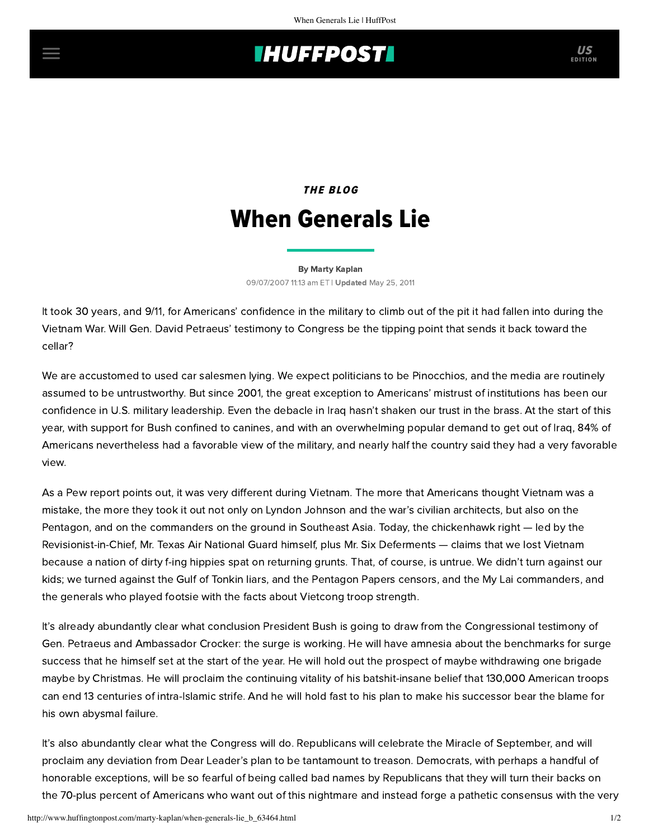## **INUFFPOST**

## **THE BLOG** When Generals Lie

[By Marty Kaplan](http://www.huffingtonpost.com/author/marty-kaplan) 09/07/2007 11:13 am ET | Updated May 25, 2011

It took 30 years, and 9/11, for Americans' confidence in the military to climb out of the pit it had fallen into during the Vietnam War. Will Gen. David Petraeus' testimony to Congress be the tipping point that sends it back toward the cellar?

We are accustomed to used car salesmen lying. We expect politicians to be Pinocchios, and the media are routinely assumed to be untrustworthy. But since 2001, the great exception to Americans' mistrust of institutions has been our confidence in U.S. military leadership. Even the debacle in Iraq hasn't shaken our trust in the brass. At the start of this year, with support for Bush confined to canines, and with an overwhelming popular demand to get out of Iraq, 84% of Americans nevertheless had a favorable view of the military, and nearly half the country said they had a very favorable view.

As a [Pew report](http://pewresearch.org/pubs/432/iraq-and-vietnam-a-crucial-difference-in-opinion) points out, it was very different during Vietnam. The more that Americans thought Vietnam was a mistake, the more they took it out not only on Lyndon Johnson and the war's civilian architects, but also on the Pentagon, and on the commanders on the ground in Southeast Asia. Today, the chickenhawk right — led by the Revisionist-in-Chief, Mr. Texas Air National Guard himself, plus Mr. Six Deferments — claims that we lost Vietnam because a nation of dirty f-ing hippies spat on returning grunts. That, of course, is untrue. We didn't turn against our kids; we turned against the Gulf of Tonkin liars, and the Pentagon Papers censors, and the My Lai commanders, and the generals who played footsie with the facts about Vietcong troop strength.

It's already abundantly clear what conclusion President Bush is going to draw from the Congressional testimony of Gen. Petraeus and Ambassador Crocker: the surge is working. He will have amnesia about the benchmarks for surge success that he himself set at the start of the year. He will hold out the prospect of maybe withdrawing one brigade maybe by Christmas. He will proclaim the continuing vitality of his batshit-insane belief that 130,000 American troops can end 13 centuries of intra-Islamic strife. And he will hold fast to his plan to make his successor bear the blame for his own abysmal failure.

It's also abundantly clear what the Congress will do. Republicans will celebrate the Miracle of September, and will proclaim any deviation from Dear Leader's plan to be tantamount to treason. Democrats, with perhaps a handful of honorable exceptions, will be so fearful of being called bad names by Republicans that they will turn their backs on the 70-plus percent of Americans who want out of this nightmare and instead forge a pathetic consensus with the very